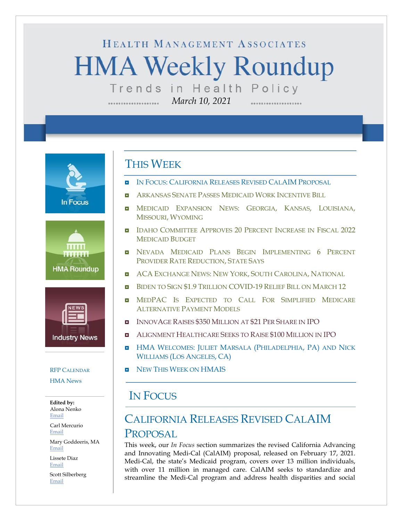# HEALTH MANAGEMENT ASSOCIATES **HMA Weekly Roundup** Trends in Health Policy

*March 10, 2021*

**In Focus** 





#### RFP C[ALENDAR](#page-10-0)

[HMA News](#page-13-1)

**Edited by:** Alona Nenko [Email](mailto:anenko@healthmanagement.com)

Carl Mercurio [Email](mailto:cmercurio@healthmanagement.com)

Mary Goddeeris, MA [Email](mailto:mgoddeeris@healthmanagement.com)

Lissete Diaz [Email](mailto:ldiaz@healthmanagement.com)

Scott Silberberg [Email](mailto:ssilberberg@healthmanagement.com)

### THIS WEEK

- IN FOCUS: CALIFORNIA RELEASES REVISED CALAIM PROPOSAL
- **E** ARKANSAS SENATE PASSES MEDICAID WORK I[NCENTIVE](#page-4-0) BILL
- **n** Medicaid Expansion News: Georgia, Kansas, Louisiana, MISSOURI, W[YOMING](#page-4-1)
- **IDAHO COMMITTEE APPROVES 20 PERCENT I[NCREASE IN](#page-4-2) FISCAL 2022** M[EDICAID](#page-4-2) BUDGET
- **NEVADA MEDICAID PLANS BEGIN I[MPLEMENTING](#page-5-0) 6 PERCENT** PROVIDER RATE R[EDUCTION](#page-5-0), STATE SAYS
- **E** ACA E[XCHANGE](#page-5-1) NEWS: NEW YORK, SOUTH CAROLINA, NATIONAL
- BIDEN TO SIGN \$1.9 TRILLION [COVID-19](#page-7-0) RELIEF BILL ON MARCH 12
- **IN MEDPAC IS E[XPECTED TO](#page-7-0) CALL FOR SIMPLIFIED MEDICARE** A[LTERNATIVE](#page-7-0) PAYMENT MODELS
- **INNOVAGE RAISES \$350 M[ILLION AT](#page-9-0) \$21 PER SHARE IN IPO**
- ALIGNMENT H[EALTHCARE](#page-9-0) SEEKS TO RAISE \$100 MILLION IN IPO
- **HMA WELCOMES: JULIET MARSALA (P[HILADELPHIA](#page-11-0), PA) AND NICK** W[ILLIAMS](#page-11-0) (LOS ANGELES, CA)
- NEW THIS WEEK ON [HMAIS](#page-13-0)

### IN FOCUS

## CALIFORNIA RELEASES REVISED CALAIM PROPOSAL

This week, our *In Focus* section summarizes the revised California Advancing and Innovating Medi-Cal (CalAIM) proposal, released on February 17, 2021. Medi-Cal, the state's Medicaid program, covers over 13 million individuals, with over 11 million in managed care. CalAIM seeks to standardize and streamline the Medi-Cal program and address health disparities and social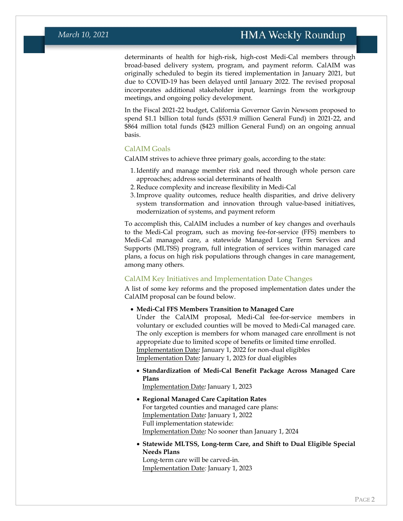determinants of health for high-risk, high-cost Medi-Cal members through broad-based delivery system, program, and payment reform. CalAIM was originally scheduled to begin its tiered implementation in January 2021, but due to COVID-19 has been delayed until January 2022. The revised proposal incorporates additional stakeholder input, learnings from the workgroup meetings, and ongoing policy development.

In the Fiscal 2021-22 budget, California Governor Gavin Newsom proposed to spend \$1.1 billion total funds (\$531.9 million General Fund) in 2021-22, and \$864 million total funds (\$423 million General Fund) on an ongoing annual basis.

#### CalAIM Goals

CalAIM strives to achieve three primary goals, according to the state:

- 1.Identify and manage member risk and need through whole person care approaches; address social determinants of health
- 2.Reduce complexity and increase flexibility in Medi-Cal
- 3.Improve quality outcomes, reduce health disparities, and drive delivery system transformation and innovation through value-based initiatives, modernization of systems, and payment reform

To accomplish this, CalAIM includes a number of key changes and overhauls to the Medi-Cal program, such as moving fee-for-service (FFS) members to Medi-Cal managed care, a statewide Managed Long Term Services and Supports (MLTSS) program, full integration of services within managed care plans, a focus on high risk populations through changes in care management, among many others.

#### CalAIM Key Initiatives and Implementation Date Changes

A list of some key reforms and the proposed implementation dates under the CalAIM proposal can be found below.

#### • **Medi-Cal FFS Members Transition to Managed Care**

Under the CalAIM proposal, Medi-Cal fee-for-service members in voluntary or excluded counties will be moved to Medi-Cal managed care. The only exception is members for whom managed care enrollment is not appropriate due to limited scope of benefits or limited time enrolled. Implementation Date*:* January 1, 2022 for non-dual eligibles Implementation Date*:* January 1, 2023 for dual eligibles

• **Standardization of Medi-Cal Benefit Package Across Managed Care Plans**

Implementation Date*:* January 1, 2023

- **Regional Managed Care Capitation Rates** For targeted counties and managed care plans: Implementation Date*:* January 1, 2022 Full implementation statewide: Implementation Date*:* No sooner than January 1, 2024
- **Statewide MLTSS, Long-term Care, and Shift to Dual Eligible Special Needs Plans**

Long-term care will be carved-in. Implementation Date*:* January 1, 2023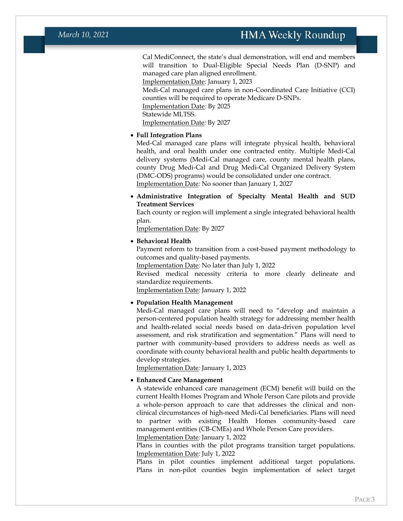Cal MediConnect, the state's dual demonstration, will end and members will transition to Dual-Eligible Special Needs Plan (D-SNP) and managed care plan aligned enrollment.

Implementation Date*:* January 1, 2023

Medi-Cal managed care plans in non-Coordinated Care Initiative (CCI) counties will be required to operate Medicare D-SNPs. Implementation Date*:* By 2025 Statewide MLTSS. Implementation Date*:* By 2027

#### • **Full Integration Plans**

Med-Cal managed care plans will integrate physical health, behavioral health, and oral health under one contracted entity. Multiple Medi-Cal delivery systems (Medi-Cal managed care, county mental health plans, county Drug Medi-Cal and Drug Medi-Cal Organized Delivery System (DMC-ODS) programs) would be consolidated under one contract. Implementation Date*:* No sooner than January 1, 2027

• **Administrative Integration of Specialty Mental Health and SUD Treatment Services**

Each county or region will implement a single integrated behavioral health plan.

Implementation Date*:* By 2027

#### • **Behavioral Health**

Payment reform to transition from a cost-based payment methodology to outcomes and quality-based payments.

Implementation Date*:* No later than July 1, 2022

Revised medical necessity criteria to more clearly delineate and standardize requirements.

Implementation Date*:* January 1, 2022

#### • **Population Health Management**

Medi-Cal managed care plans will need to "develop and maintain a person-centered population health strategy for addressing member health and health-related social needs based on data-driven population level assessment, and risk stratification and segmentation." Plans will need to partner with community-based providers to address needs as well as coordinate with county behavioral health and public health departments to develop strategies.

Implementation Date*:* January 1, 2023

#### • **Enhanced Care Management**

A statewide enhanced care management (ECM) benefit will build on the current Health Homes Program and Whole Person Care pilots and provide a whole-person approach to care that addresses the clinical and nonclinical circumstances of high-need Medi-Cal beneficiaries. Plans will need to partner with existing Health Homes community-based care management entities (CB-CMEs) and Whole Person Care providers.

Implementation Date*:* January 1, 2022

Plans in counties with the pilot programs transition target populations. Implementation Date*:* July 1, 2022

Plans in pilot counties implement additional target populations. Plans in non-pilot counties begin implementation of select target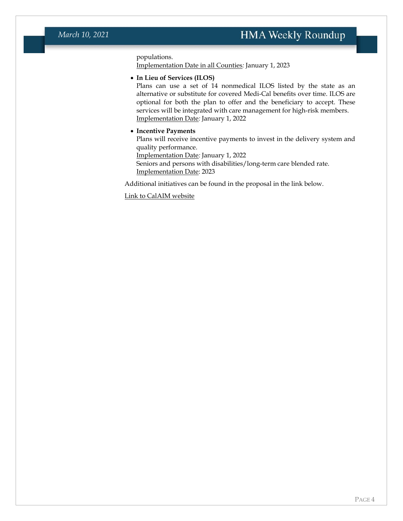populations.

Implementation Date in all Counties*:* January 1, 2023

#### • **In Lieu of Services (ILOS)**

Plans can use a set of 14 nonmedical ILOS listed by the state as an alternative or substitute for covered Medi-Cal benefits over time. ILOS are optional for both the plan to offer and the beneficiary to accept. These services will be integrated with care management for high-risk members. Implementation Date*:* January 1, 2022

#### • **Incentive Payments**

Plans will receive incentive payments to invest in the delivery system and quality performance.

Implementation Date*:* January 1, 2022

Seniors and persons with disabilities/long-term care blended rate. Implementation Date: 2023

Additional initiatives can be found in the proposal in the link below.

[Link to CalAIM website](https://www.dhcs.ca.gov/provgovpart/Pages/CalAIM.aspx)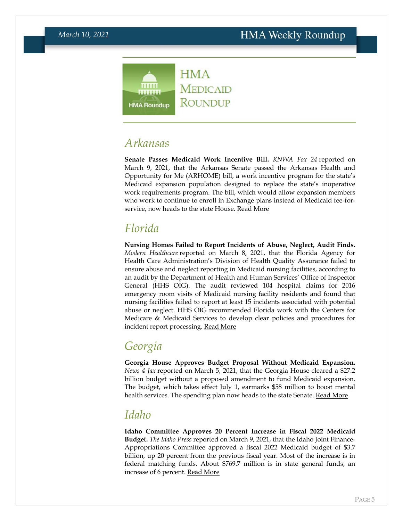

### <span id="page-4-0"></span>*Arkansas*

**Senate Passes Medicaid Work Incentive Bill.** *KNWA Fox 24* reported on March 9, 2021, that the Arkansas Senate passed the Arkansas Health and Opportunity for Me (ARHOME) bill, a work incentive program for the state's Medicaid expansion population designed to replace the state's inoperative work requirements program. The bill, which would allow expansion members who work to continue to enroll in Exchange plans instead of Medicaid fee-forservice, now heads to the state House. [Read More](https://www.nwahomepage.com/news/local-news/senate-passes-sb410-formerly-known-as-arkansas-works/)

# *Florida*

**Nursing Homes Failed to Report Incidents of Abuse, Neglect, Audit Finds.**  *Modern Healthcare* reported on March 8, 2021, that the Florida Agency for Health Care Administration's Division of Health Quality Assurance failed to ensure abuse and neglect reporting in Medicaid nursing facilities, according to an audit by the Department of Health and Human Services' Office of Inspector General (HHS OIG). The audit reviewed 104 hospital claims for 2016 emergency room visits of Medicaid nursing facility residents and found that nursing facilities failed to report at least 15 incidents associated with potential abuse or neglect. HHS OIG recommended Florida work with the Centers for Medicare & Medicaid Services to develop clear policies and procedures for incident report processing. [Read More](https://www.modernhealthcare.com/post-acute-care/florida-didnt-ensure-abuse-and-neglect-reporting-nursing-homes-watchdog-finds)

# <span id="page-4-1"></span>*Georgia*

**Georgia House Approves Budget Proposal Without Medicaid Expansion.**  *News 4 Jax* reported on March 5, 2021, that the Georgia House cleared a \$27.2 billion budget without a proposed amendment to fund Medicaid expansion. The budget, which takes effect July 1, earmarks \$58 million to boost mental health services. The spending plan now heads to the state Senate. [Read More](https://www.news4jax.com/news/georgia/2021/03/05/georgia-house-passes-budget-as-gop-rejects-democrat-medicaid-expansion/)

### <span id="page-4-2"></span>*Idaho*

**Idaho Committee Approves 20 Percent Increase in Fiscal 2022 Medicaid Budget.** *The Idaho Press* reported on March 9, 2021, that the Idaho Joint Finance-Appropriations Committee approved a fiscal 2022 Medicaid budget of \$3.7 billion, up 20 percent from the previous fiscal year. Most of the increase is in federal matching funds. About \$769.7 million is in state general funds, an increase of 6 percent. [Read More](https://www.idahopress.com/eyeonboise/medicaid-budget-set-its-the-states-largest-agency-budget-in-total-funds-though-still-dwarfed/article_7854c8dd-7392-575f-acff-25cad8ac9174.html)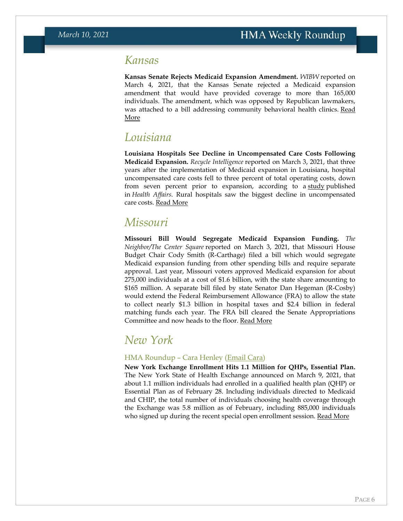### *Kansas*

**Kansas Senate Rejects Medicaid Expansion Amendment.** *WIBW* reported on March 4, 2021, that the Kansas Senate rejected a Medicaid expansion amendment that would have provided coverage to more than 165,000 individuals. The amendment, which was opposed by Republican lawmakers, was attached to a bill addressing community behavioral health clinics. [Read](https://www.wibw.com/2021/03/04/medicaid-expansion-amendment-dies-in-kansas-senate/)  [More](https://www.wibw.com/2021/03/04/medicaid-expansion-amendment-dies-in-kansas-senate/)

### *Louisiana*

**Louisiana Hospitals See Decline in Uncompensated Care Costs Following Medicaid Expansion.** *Recycle Intelligence* reported on March 3, 2021, that three years after the implementation of Medicaid expansion in Louisiana, hospital uncompensated care costs fell to three percent of total operating costs, down from seven percent prior to expansion, according to a [study](https://www.healthaffairs.org/doi/pdf/10.1377/hlthaff.2020.01677) published in *Health Affairs*. Rural hospitals saw the biggest decline in uncompensated care costs. [Read More](https://revcycleintelligence.com/news/hospital-uncompensated-care-costs-down-after-la-medicaid-expansion)

### *Missouri*

**Missouri Bill Would Segregate Medicaid Expansion Funding.** *The Neighbor/The Center Square* reported on March 3, 2021, that Missouri House Budget Chair Cody Smith (R-Carthage) filed a bill which would segregate Medicaid expansion funding from other spending bills and require separate approval. Last year, Missouri voters approved Medicaid expansion for about 275,000 individuals at a cost of \$1.6 billion, with the state share amounting to \$165 million. A separate bill filed by state Senator Dan Hegeman (R-Cosby) would extend the Federal Reimbursement Allowance (FRA) to allow the state to collect nearly \$1.3 billion in hospital taxes and \$2.4 billion in federal matching funds each year. The FRA bill cleared the Senate Appropriations Committee and now heads to the floor. [Read More](https://www.mdjonline.com/neighbor_newspapers/extra/news/missouri-bill-requires-separate-approval-for-segregated-medicaid-expansion-costs/article_09c5003b-d8e8-5aeb-88a5-6b7d3c91e9f2.html)

### <span id="page-5-1"></span>*New York*

#### HMA Roundup – Cara Henley [\(Email Cara\)](mailto:chenley@healthmanagement.com)

<span id="page-5-0"></span>**New York Exchange Enrollment Hits 1.1 Million for QHPs, Essential Plan.**  The New York State of Health Exchange announced on March 9, 2021, that about 1.1 million individuals had enrolled in a qualified health plan (QHP) or Essential Plan as of February 28. Including individuals directed to Medicaid and CHIP, the total number of individuals choosing health coverage through the Exchange was 5.8 million as of February, including 885,000 individuals who signed up during the recent special open enrollment session. [Read More](https://info.nystateofhealth.ny.gov/news/press-release-ny-state-health-announces-enrollment-surges-more-58-million-new-yorkers-enrolled)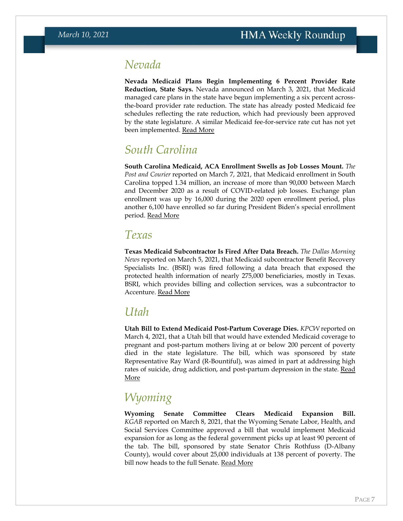### *Nevada*

**Nevada Medicaid Plans Begin Implementing 6 Percent Provider Rate Reduction, State Says.** Nevada announced on March 3, 2021, that Medicaid managed care plans in the state have begun implementing a six percent acrossthe-board provider rate reduction. The state has already posted Medicaid fee schedules reflecting the rate reduction, which had previously been approved by the state legislature. A similar Medicaid fee-for-service rate cut has not yet been implemented. [Read More](https://www.medicaid.nv.gov/Downloads/provider/web_announcement_2388_20201223.pdf#page=2&zoom=100,0,0)

## *South Carolina*

**South Carolina Medicaid, ACA Enrollment Swells as Job Losses Mount.** *The Post and Courier* reported on March 7, 2021, that Medicaid enrollment in South Carolina topped 1.34 million, an increase of more than 90,000 between March and December 2020 as a result of COVID-related job losses. Exchange plan enrollment was up by 16,000 during the 2020 open enrollment period, plus another 6,100 have enrolled so far during President Biden's special enrollment period. Read [More](https://www.postandcourier.com/health/covid19/medicaid-obamacare-enrollment-up-in-sc-as-many-lost-employer-health-care-during-pandemic/article_0b6b9384-7a9b-11eb-a58f-4f88f93f3d01.html)

### *Texas*

**Texas Medicaid Subcontractor Is Fired After Data Breach.** *The Dallas Morning News* reported on March 5, 2021, that Medicaid subcontractor Benefit Recovery Specialists Inc. (BSRI) was fired following a data breach that exposed the protected health information of nearly 275,000 beneficiaries, mostly in Texas. BSRI, which provides billing and collection services, was a subcontractor to Accenture. [Read More](https://www.dallasnews.com/news/politics/2021/03/05/terminated-texas-medicaid-subcontractor-dumped-after-data-breach-in-ransomware-attack-from-russia/)

### *Utah*

**Utah Bill to Extend Medicaid Post-Partum Coverage Dies.** *KPCW* reported on March 4, 2021, that a Utah bill that would have extended Medicaid coverage to pregnant and post-partum mothers living at or below 200 percent of poverty died in the state legislature. The bill, which was sponsored by state Representative Ray Ward (R-Bountiful), was aimed in part at addressing high rates of suicide, drug addiction, and post-partum depression in the state. [Read](https://www.kpcw.org/post/utah-bill-would-have-expanded-medicaid-new-mothers-falls-short#stream/0)  [More](https://www.kpcw.org/post/utah-bill-would-have-expanded-medicaid-new-mothers-falls-short#stream/0)

# *Wyoming*

**Wyoming Senate Committee Clears Medicaid Expansion Bill.**  *KGAB* reported on March 8, 2021, that the Wyoming Senate Labor, Health, and Social Services Committee approved a bill that would implement Medicaid expansion for as long as the federal government picks up at least 90 percent of the tab. The bill, sponsored by state Senator Chris Rothfuss (D-Albany County), would cover about 25,000 individuals at 138 percent of poverty. The bill now heads to the full Senate. [Read More](https://kgab.com/medicaid-expansion-bill-passes-wyoming-senate-committee/)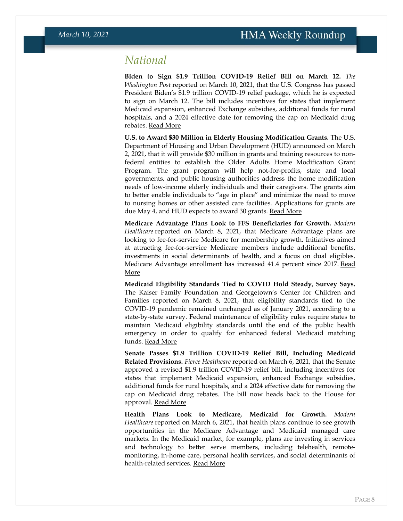### <span id="page-7-0"></span>*National*

**Biden to Sign \$1.9 Trillion COVID-19 Relief Bill on March 12.** *The Washington Post* reported on March 10, 2021, that the U.S. Congress has passed President Biden's \$1.9 trillion COVID-19 relief package, which he is expected to sign on March 12. The bill includes incentives for states that implement Medicaid expansion, enhanced Exchange subsidies, additional funds for rural hospitals, and a 2024 effective date for removing the cap on Medicaid drug rebates. [Read More](https://www.washingtonpost.com/business/2021/03/10/what-is-in-the-stimulus/)

**U.S. to Award \$30 Million in Elderly Housing Modification Grants.** The U.S. Department of Housing and Urban Development (HUD) announced on March 2, 2021, that it will provide \$30 million in grants and training resources to nonfederal entities to establish the Older Adults Home Modification Grant Program. The grant program will help not-for-profits, state and local governments, and public housing authorities address the home modification needs of low-income elderly individuals and their caregivers. The grants aim to better enable individuals to "age in place" and minimize the need to move to nursing homes or other assisted care facilities. Applications for grants are due May 4, and HUD expects to award 30 grants. <u>[Read More](https://www.grants.gov/web/grants/view-opportunity.html?oppId=331842)</u>

**Medicare Advantage Plans Look to FFS Beneficiaries for Growth.** *Modern Healthcare* reported on March 8, 2021, that Medicare Advantage plans are looking to fee-for-service Medicare for membership growth. Initiatives aimed at attracting fee-for-service Medicare members include additional benefits, investments in social determinants of health, and a focus on dual eligibles. Medicare Advantage enrollment has increased 41.4 percent since 2017. [Read](https://www.modernhealthcare.com/medicare/insurers-see-traditional-medicare-hold-steady-despite-advantage-growth)  [More](https://www.modernhealthcare.com/medicare/insurers-see-traditional-medicare-hold-steady-despite-advantage-growth)

**Medicaid Eligibility Standards Tied to COVID Hold Steady, Survey Says.**  The Kaiser Family Foundation and Georgetown's Center for Children and Families reported on March 8, 2021, that eligibility standards tied to the COVID-19 pandemic remained unchanged as of January 2021, according to a state-by-state survey. Federal maintenance of eligibility rules require states to maintain Medicaid eligibility standards until the end of the public health emergency in order to qualify for enhanced federal Medicaid matching funds. [Read More](https://ccf.georgetown.edu/2021/03/08/medicaid-and-chip-eligibility-enrollment-and-cost-sharing-policies-as-of-january-2020-findings-from-a-50-state-survey-2/)

**Senate Passes \$1.9 Trillion COVID-19 Relief Bill, Including Medicaid Related Provisions.** *Fierce Healthcare* reported on March 6, 2021, that the Senate approved a revised \$1.9 trillion COVID-19 relief bill, including incentives for states that implement Medicaid expansion, enhanced Exchange subsidies, additional funds for rural hospitals, and a 2024 effective date for removing the cap on Medicaid drug rebates. The bill now heads back to the House for approval. [Read More](https://www.fiercehealthcare.com/hospitals/senate-narrowly-passes-covid-19-package-includes-aca-subsidy-boost-rural-hospital-money)

**Health Plans Look to Medicare, Medicaid for Growth.** *Modern Healthcare* reported on March 6, 2021, that health plans continue to see growth opportunities in the Medicare Advantage and Medicaid managed care markets. In the Medicaid market, for example, plans are investing in services and technology to better serve members, including telehealth, remotemonitoring, in-home care, personal health services, and social determinants of health-related services. [Read More](https://www.modernhealthcare.com/insurance/insurers-set-sights-growth-medicare-advantage-medicaid-managed-care)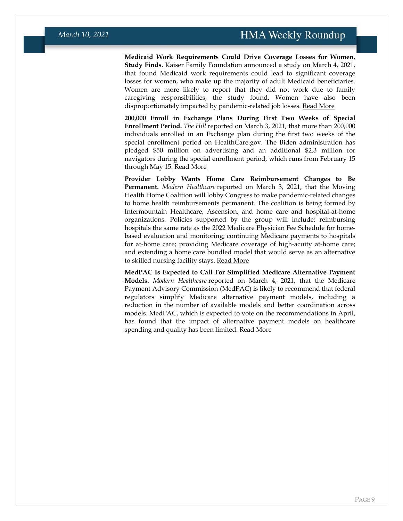**Medicaid Work Requirements Could Drive Coverage Losses for Women, Study Finds.** Kaiser Family Foundation announced a study on March 4, 2021, that found Medicaid work requirements could lead to significant coverage losses for women, who make up the majority of adult Medicaid beneficiaries. Women are more likely to report that they did not work due to family caregiving responsibilities, the study found. Women have also been disproportionately impacted by pandemic-related job losses. [Read More](https://www.kff.org/womens-health-policy/issue-brief/medicaid-work-requirements-implications-for-low-income-womens-coverage/)

**200,000 Enroll in Exchange Plans During First Two Weeks of Special Enrollment Period.** *The Hill* reported on March 3, 2021, that more than 200,000 individuals enrolled in an Exchange plan during the first two weeks of the special enrollment period on HealthCare.gov. The Biden administration has pledged \$50 million on advertising and an additional \$2.3 million for navigators during the special enrollment period, which runs from February 15 through May 15. [Read More](https://thehill.com/policy/healthcare/541401-more-than-200000-people-sign-up-for-aca-plans-during-biden-special)

**Provider Lobby Wants Home Care Reimbursement Changes to Be Permanent.** *Modern Healthcare* reported on March 3, 2021, that the Moving Health Home Coalition will lobby Congress to make pandemic-related changes to home health reimbursements permanent. The coalition is being formed by Intermountain Healthcare, Ascension, and home care and hospital-at-home organizations. Policies supported by the group will include: reimbursing hospitals the same rate as the 2022 Medicare Physician Fee Schedule for homebased evaluation and monitoring; continuing Medicare payments to hospitals for at-home care; providing Medicare coverage of high-acuity at-home care; and extending a home care bundled model that would serve as an alternative to skilled nursing facility stays. [Read More](https://www.modernhealthcare.com/home-health/intermountain-ascension-push-permanent-cms-home-care-reimbursement-changes)

**MedPAC Is Expected to Call For Simplified Medicare Alternative Payment Models.** *Modern Healthcare* reported on March 4, 2021, that the Medicare Payment Advisory Commission (MedPAC) is likely to recommend that federal regulators simplify Medicare alternative payment models, including a reduction in the number of available models and better coordination across models. MedPAC, which is expected to vote on the recommendations in April, has found that the impact of alternative payment models on healthcare spending and quality has been limited. [Read More](https://www.modernhealthcare.com/payment/medpac-likely-recommend-cms-simplify-alternative-payment-models)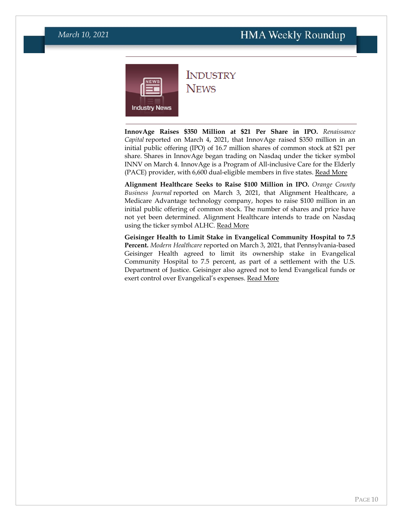### **HMA Weekly Roundup**

<span id="page-9-0"></span>

### **INDUSTRY NEWS**

**InnovAge Raises \$350 Million at \$21 Per Share in IPO.** *Renaissance Capital* reported on March 4, 2021, that InnovAge raised \$350 million in an initial public offering (IPO) of 16.7 million shares of common stock at \$21 per share. Shares in InnovAge began trading on Nasdaq under the ticker symbol INNV on March 4. InnovAge is a Program of All-inclusive Care for the Elderly (PACE) provider, with 6,600 dual-eligible members in five states. [Read More](https://www.nasdaq.com/articles/senior-care-provider-innovage-holding-prices-ipo-at-%2421-the-high-end-of-the-upwardly)

**Alignment Healthcare Seeks to Raise \$100 Million in IPO.** *Orange County Business Journal* reported on March 3, 2021, that Alignment Healthcare, a Medicare Advantage technology company, hopes to raise \$100 million in an initial public offering of common stock. The number of shares and price have not yet been determined. Alignment Healthcare intends to trade on Nasdaq using the ticker symbol ALHC. [Read More](https://www.ocbj.com/news/2021/mar/03/alignment-healthcare-files-ipo/)

**Geisinger Health to Limit Stake in Evangelical Community Hospital to 7.5 Percent.** *Modern Healthcare* reported on March 3, 2021, that Pennsylvania-based Geisinger Health agreed to limit its ownership stake in Evangelical Community Hospital to 7.5 percent, as part of a settlement with the U.S. Department of Justice. Geisinger also agreed not to lend Evangelical funds or exert control over Evangelical's expenses. [Read More](https://www.modernhealthcare.com/mergers-acquisitions/geisinger-will-reduce-evangelical-ownership-under-doj-settlement)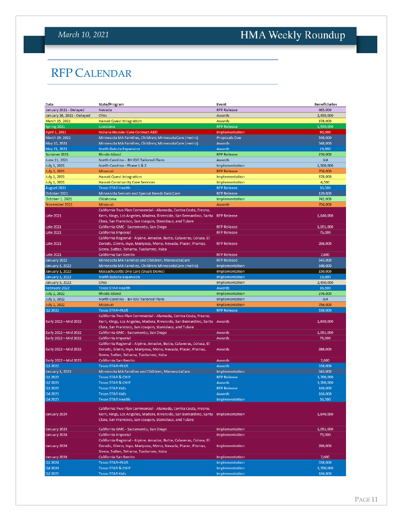# <span id="page-10-0"></span>HMA Weekly Roundup

# RFP CALENDAR

| Date                       | <b>State/Program</b>                                                      | <b>Event</b>       | <b>Beneficiaries</b> |
|----------------------------|---------------------------------------------------------------------------|--------------------|----------------------|
| January 2021 - Delayed     | Nevada                                                                    | <b>RFP Release</b> | 465,000              |
| January 26, 2021 - Delayed | Ohio                                                                      | Awards             | 2,450,000            |
| March 15, 2021             | Hawaii Quest Integration                                                  | Awards             | 378,000              |
| Spring 2021                | Louisiana                                                                 | <b>RFP Release</b> | 1,550,000            |
| April 1, 2021              | Indiana Hoosier Care Connect ABD                                          | Implementation     | 90,000               |
| March 19, 2021             | Minnesota MA Families, Children; MinnesotaCare (metro)                    | Proposals Due      | 548,000              |
| May 10, 2021               | Minnesota MA Families, Children; MinnesotaCare (metro)                    | Awards             | 548,000              |
| May 21, 2021               | North Dakota Expansion                                                    | <b>Awards</b>      | 19,800               |
| Summer 2021                | Rhode Island                                                              | <b>RFP Release</b> | 276,000              |
|                            |                                                                           |                    |                      |
| June 11, 2021              | North Carolina - BH IDD Tailored Plans                                    | Awards             | <b>NA</b>            |
| <b>July 1, 2021</b>        | North Carolina - Phase 1 & 2                                              | Implementation     | 1,500,000            |
| <b>July 1, 2021</b>        | Missouri                                                                  | <b>RFP Release</b> | 756,000              |
| <b>July 1, 2021</b>        | <b>Hawaii Quest Integration</b>                                           | Implementation     | 378,000              |
| <b>July 1, 2021</b>        | <b>Hawaii Community Care Services</b>                                     | Implementation     | 4,500                |
| August 2021                | <b>Texas STAR Health</b>                                                  | <b>RFP Release</b> | 36,500               |
| October 2021               | Minnesota Seniors and Special Needs BasicCare                             | <b>RFP Release</b> | 120,000              |
| October 1, 2021            | Oklahoma                                                                  | Implementation     | 742,000              |
| November 2021              | Missouri                                                                  | Awards             | 756,000              |
|                            | California Two Plan Commercial - Alameda, Contra Costa, Fresno,           |                    |                      |
| <b>Late 2021</b>           | Kern, Kings, Los Angeles, Madera, Riverside, San Bernardino, Santa        | <b>RFP Release</b> | 1,640,000            |
|                            | Clara, San Francisco, San Joaquin, Stanislaus, and Tulare                 |                    |                      |
| <b>Late 2021</b>           | California GMC - Sacramento, San Diego                                    | <b>RFP Release</b> | 1,091,000            |
| <b>Late 2021</b>           | California Imperial                                                       | <b>RFP Release</b> | 75,000               |
|                            | California Regional - Alpine, Amador, Butte, Calaveras, Colusa, El        |                    |                      |
|                            |                                                                           | <b>RFP Release</b> | 286,000              |
| <b>Late 2021</b>           | Dorado, Glenn, Inyo, Mariposa, Mono, Nevada, Placer, Plumas,              |                    |                      |
|                            | Sierra, Sutter, Tehama, Tuolumne, Yuba                                    |                    |                      |
| <b>Late 2021</b>           | California San Benito                                                     | <b>RFP Release</b> | 7,600                |
| January 2022               | Minnesota MA Families and Children, MinnesotaCare                         | <b>RFP Release</b> | 543,000              |
| January 1, 2022            | Minnesota MA Families, Children; MinnesotaCare (metro)                    | Implementation     | 548,000              |
| January 1, 2022            | Massachusetts One Care (Duals Demo)                                       | Implementation     | 150,000              |
| January 1, 2022            | North Dakota Expansion                                                    | Implementation     | 19,800               |
| <b>January 5, 2022</b>     | Ohio                                                                      | Implementation     | 2,450,000            |
| February 2022              | <b>Texas STAR Health</b>                                                  | Awards             | 36,500               |
| July 1, 2022               | Rhode Island                                                              | Implementation     | 276,000              |
| <b>July 1, 2022</b>        | North Carolina - BH IDD Tailored Plans                                    | Implementation     | <b>NA</b>            |
| July 1, 2022               | <b>Missouri</b>                                                           | Implementation     | 756,000              |
| Q2 2022                    | <b>Texas STAR+PLUS</b>                                                    | <b>RFP Release</b> | 538,000              |
|                            | California Two Plan Commercial - Alameda, Contra Costa, Fresno,           |                    |                      |
| Early 2022 - Mid 2022      | Kern, Kings, Los Angeles, Madera, Riverside, San Bernardino, Santa Awards |                    | 1,640,000            |
|                            | Clara, San Francisco, San Joaquin, Stanislaus, and Tulare                 |                    |                      |
|                            |                                                                           |                    |                      |
|                            |                                                                           |                    |                      |
| Early 2022 - Mid 2022      | California GMC - Sacramento, San Diego                                    | Awards             | 1,091,000            |
| Early 2022 - Mid 2022      | California Imperial                                                       | Awards             | 75,000               |
|                            | California Regional - Alpine, Amador, Butte, Calaveras, Colusa, El        |                    |                      |
| Early 2022 - Mid 2022      | Dorado, Glenn, Inyo, Mariposa, Mono, Nevada, Placer, Plumas,              | Awards             | 286,000              |
|                            | Sierra, Sutter, Tehama, Tuolumne, Yuba                                    |                    |                      |
| Early 2022 - Mid 2022      | California San Benito                                                     | Awards             | 7,600                |
| Q3 2022                    | <b>Texas STAR+PLUS</b>                                                    | Awards             | 538,000              |
| January 1, 2023            | Minnesota MA Families and Children, MinnesotaCare                         | Implementation     | 543,000              |
| Q1 2023                    | <b>Texas STAR &amp; CHIP</b>                                              | <b>RFP Release</b> | 3,700,000            |
| Q2 2023                    | <b>Texas STAR &amp; CHIP</b>                                              | Awards             | 3,700,000            |
| Q3 2023                    | <b>Texas STAR Kids</b>                                                    | <b>RFP Release</b> | 166,000              |
| Q4 2023                    | <b>Texas STAR Kids</b>                                                    | Awards             | 166,000              |
| Q4 2023                    | <b>Texas STAR Health</b>                                                  | Implementation     |                      |
|                            |                                                                           |                    | 36,500               |
|                            | California Two Plan Commercial - Alameda, Contra Costa, Fresno,           |                    |                      |
| January 2024               | Kern, Kings, Los Angeles, Madera, Riverside, San Bernardino, Santa        | Implementation     | 1,640,000            |
|                            | Clara, San Francisco, San Joaquin, Stanislaus, and Tulare                 |                    |                      |
|                            |                                                                           |                    |                      |
| January 2024               | California GMC - Sacramento, San Diego                                    | Implementation     | 1,091,000            |
| January 2024               | California Imperial                                                       | Implementation     | 75,000               |
|                            | California Regional - Alpine, Amador, Butte, Calaveras, Colusa, El        |                    |                      |
| January 2024               | Dorado, Glenn, Inyo, Mariposa, Mono, Nevada, Placer, Plumas,              | Implementation     | 286,000              |
|                            | Sierra, Sutter, Tehama, Tuolumne, Yuba                                    |                    |                      |
| January 2024               | California San Benito                                                     | Implementation     | 7,600                |
| Q1 2024                    | <b>Texas STAR+PLUS</b>                                                    | Implementation     | 538,000              |
| Q4 2024                    | <b>Texas STAR &amp; CHIP</b>                                              | Implementation     | 3,700,000            |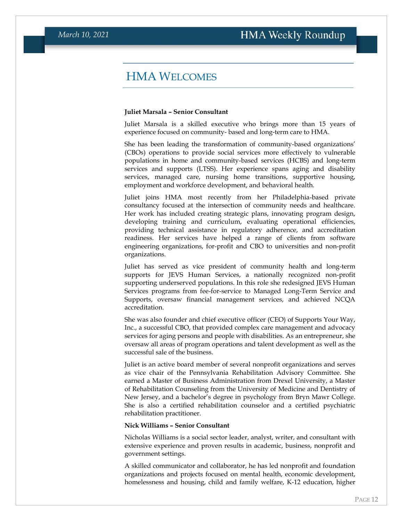### HMA WELCOMES

#### <span id="page-11-0"></span>**Juliet Marsala – Senior Consultant**

Juliet Marsala is a skilled executive who brings more than 15 years of experience focused on community- based and long-term care to HMA.

She has been leading the transformation of community-based organizations' (CBOs) operations to provide social services more effectively to vulnerable populations in home and community-based services (HCBS) and long-term services and supports (LTSS). Her experience spans aging and disability services, managed care, nursing home transitions, supportive housing, employment and workforce development, and behavioral health.

Juliet joins HMA most recently from her Philadelphia-based private consultancy focused at the intersection of community needs and healthcare. Her work has included creating strategic plans, innovating program design, developing training and curriculum, evaluating operational efficiencies, providing technical assistance in regulatory adherence, and accreditation readiness. Her services have helped a range of clients from software engineering organizations, for-profit and CBO to universities and non-profit organizations.

Juliet has served as vice president of community health and long-term supports for JEVS Human Services, a nationally recognized non-profit supporting underserved populations. In this role she redesigned JEVS Human Services programs from fee-for-service to Managed Long-Term Service and Supports, oversaw financial management services, and achieved NCQA accreditation.

She was also founder and chief executive officer (CEO) of Supports Your Way, Inc., a successful CBO, that provided complex care management and advocacy services for aging persons and people with disabilities. As an entrepreneur, she oversaw all areas of program operations and talent development as well as the successful sale of the business.

Juliet is an active board member of several nonprofit organizations and serves as vice chair of the Pennsylvania Rehabilitation Advisory Committee. She earned a Master of Business Administration from Drexel University, a Master of Rehabilitation Counseling from the University of Medicine and Dentistry of New Jersey, and a bachelor's degree in psychology from Bryn Mawr College. She is also a certified rehabilitation counselor and a certified psychiatric rehabilitation practitioner.

#### **Nick Williams – Senior Consultant**

Nicholas Williams is a social sector leader, analyst, writer, and consultant with extensive experience and proven results in academic, business, nonprofit and government settings.

A skilled communicator and collaborator, he has led nonprofit and foundation organizations and projects focused on mental health, economic development, homelessness and housing, child and family welfare, K-12 education, higher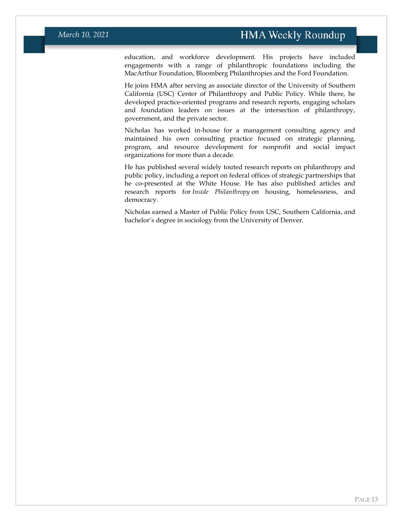education, and workforce development. His projects have included engagements with a range of philanthropic foundations including the MacArthur Foundation, Bloomberg Philanthropies and the Ford Foundation.

He joins HMA after serving as associate director of the University of Southern California (USC) Center of Philanthropy and Public Policy. While there, he developed practice-oriented programs and research reports, engaging scholars and foundation leaders on issues at the intersection of philanthropy, government, and the private sector.

Nicholas has worked in-house for a management consulting agency and maintained his own consulting practice focused on strategic planning, program, and resource development for nonprofit and social impact organizations for more than a decade.

He has published several widely touted research reports on philanthropy and public policy, including a report on federal offices of strategic partnerships that he co-presented at the White House. He has also published articles and research reports for *Inside Philanthropy* on housing, homelessness, and democracy*.*

Nicholas earned a Master of Public Policy from USC, Southern California, and bachelor's degree in sociology from the University of Denver.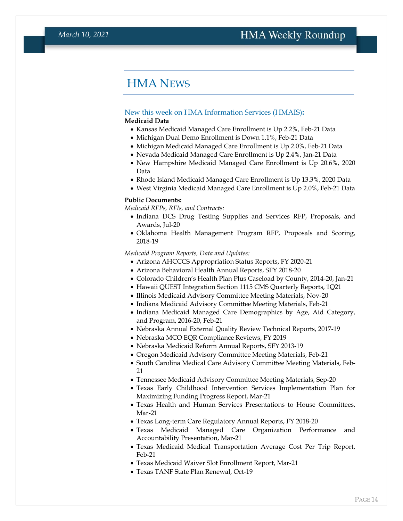### <span id="page-13-0"></span>HMA NEWS

#### New this week on HMA Information Services (HMAIS)**:**

#### <span id="page-13-1"></span>**Medicaid Data**

- Kansas Medicaid Managed Care Enrollment is Up 2.2%, Feb-21 Data
- Michigan Dual Demo Enrollment is Down 1.1%, Feb-21 Data
- Michigan Medicaid Managed Care Enrollment is Up 2.0%, Feb-21 Data
- Nevada Medicaid Managed Care Enrollment is Up 2.4%, Jan-21 Data
- New Hampshire Medicaid Managed Care Enrollment is Up 20.6%, 2020 Data
- Rhode Island Medicaid Managed Care Enrollment is Up 13.3%, 2020 Data
- West Virginia Medicaid Managed Care Enrollment is Up 2.0%, Feb-21 Data

#### **Public Documents:**

*Medicaid RFPs, RFIs, and Contracts:*

- Indiana DCS Drug Testing Supplies and Services RFP, Proposals, and Awards, Jul-20
- Oklahoma Health Management Program RFP, Proposals and Scoring, 2018-19

*Medicaid Program Reports, Data and Updates:*

- Arizona AHCCCS Appropriation Status Reports, FY 2020-21
- Arizona Behavioral Health Annual Reports, SFY 2018-20
- Colorado Children's Health Plan Plus Caseload by County, 2014-20, Jan-21
- Hawaii QUEST Integration Section 1115 CMS Quarterly Reports, 1Q21
- Illinois Medicaid Advisory Committee Meeting Materials, Nov-20
- Indiana Medicaid Advisory Committee Meeting Materials, Feb-21
- Indiana Medicaid Managed Care Demographics by Age, Aid Category, and Program, 2016-20, Feb-21
- Nebraska Annual External Quality Review Technical Reports, 2017-19
- Nebraska MCO EQR Compliance Reviews, FY 2019
- Nebraska Medicaid Reform Annual Reports, SFY 2013-19
- Oregon Medicaid Advisory Committee Meeting Materials, Feb-21
- South Carolina Medical Care Advisory Committee Meeting Materials, Feb-21
- Tennessee Medicaid Advisory Committee Meeting Materials, Sep-20
- Texas Early Childhood Intervention Services Implementation Plan for Maximizing Funding Progress Report, Mar-21
- Texas Health and Human Services Presentations to House Committees, Mar-21
- Texas Long-term Care Regulatory Annual Reports, FY 2018-20
- Texas Medicaid Managed Care Organization Performance and Accountability Presentation, Mar-21
- Texas Medicaid Medical Transportation Average Cost Per Trip Report, Feb-21
- Texas Medicaid Waiver Slot Enrollment Report, Mar-21
- Texas TANF State Plan Renewal, Oct-19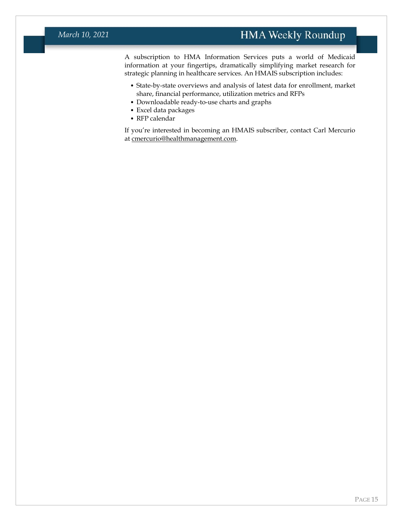A subscription to HMA Information Services puts a world of Medicaid information at your fingertips, dramatically simplifying market research for strategic planning in healthcare services. An HMAIS subscription includes:

- State-by-state overviews and analysis of latest data for enrollment, market share, financial performance, utilization metrics and RFPs
- Downloadable ready-to-use charts and graphs
- Excel data packages
- RFP calendar

If you're interested in becoming an HMAIS subscriber, contact Carl Mercurio at [cmercurio@healthmanagement.com.](mailto:cmercurio@healthmanagement.com)